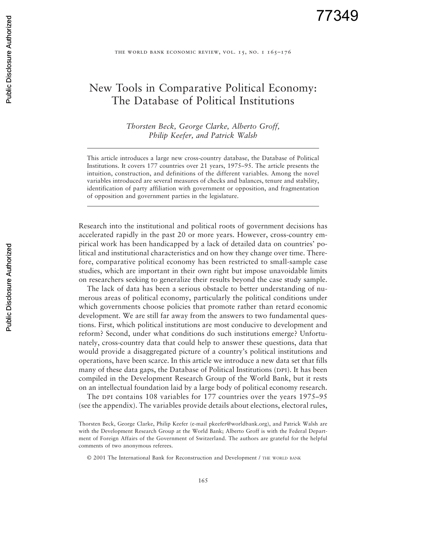# New Tools in Comparative Political Economy: The Database of Political Institutions

*Thorsten Beck, George Clarke, Alberto Groff, Philip Keefer, and Patrick Walsh*

This article introduces a large new cross-country database, the Database of Political Institutions. It covers 177 countries over 21 years, 1975–95. The article presents the intuition, construction, and definitions of the different variables. Among the novel variables introduced are several measures of checks and balances, tenure and stability, identification of party affiliation with government or opposition, and fragmentation of opposition and government parties in the legislature.

Research into the institutional and political roots of government decisions has accelerated rapidly in the past 20 or more years. However, cross-country empirical work has been handicapped by a lack of detailed data on countries' political and institutional characteristics and on how they change over time. Therefore, comparative political economy has been restricted to small-sample case studies, which are important in their own right but impose unavoidable limits on researchers seeking to generalize their results beyond the case study sample.

The lack of data has been a serious obstacle to better understanding of numerous areas of political economy, particularly the political conditions under which governments choose policies that promote rather than retard economic development. We are still far away from the answers to two fundamental questions. First, which political institutions are most conducive to development and reform? Second, under what conditions do such institutions emerge? Unfortunately, cross-country data that could help to answer these questions, data that would provide a disaggregated picture of a country's political institutions and operations, have been scarce. In this article we introduce a new data set that fills many of these data gaps, the Database of Political Institutions (DPI). It has been compiled in the Development Research Group of the World Bank, but it rests on an intellectual foundation laid by a large body of political economy research.

The DPI contains 108 variables for 177 countries over the years 1975–95 (see the appendix). The variables provide details about elections, electoral rules,

Thorsten Beck, George Clarke, Philip Keefer (e-mail pkeefer@worldbank.org), and Patrick Walsh are with the Development Research Group at the World Bank; Alberto Groff is with the Federal Department of Foreign Affairs of the Government of Switzerland. The authors are grateful for the helpful comments of two anonymous referees.

<sup>© 2001</sup> The International Bank for Reconstruction and Development / THE WORLD BANK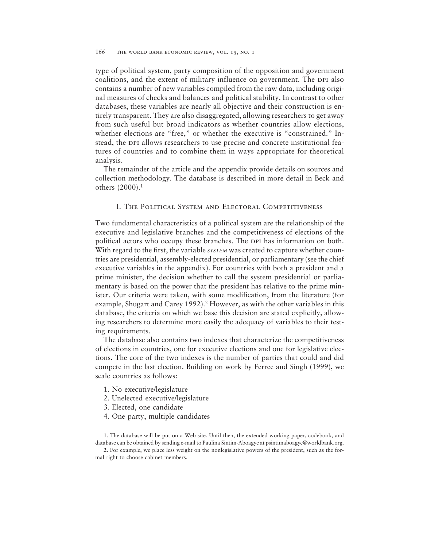type of political system, party composition of the opposition and government coalitions, and the extent of military influence on government. The DPI also contains a number of new variables compiled from the raw data, including original measures of checks and balances and political stability. In contrast to other databases, these variables are nearly all objective and their construction is entirely transparent. They are also disaggregated, allowing researchers to get away from such useful but broad indicators as whether countries allow elections, whether elections are "free," or whether the executive is "constrained." Instead, the DPI allows researchers to use precise and concrete institutional features of countries and to combine them in ways appropriate for theoretical analysis.

The remainder of the article and the appendix provide details on sources and collection methodology. The database is described in more detail in Beck and others (2000).1

#### I. The Political System and Electoral Competitiveness

Two fundamental characteristics of a political system are the relationship of the executive and legislative branches and the competitiveness of elections of the political actors who occupy these branches. The DPI has information on both. With regard to the first, the variable *SYSTEM* was created to capture whether countries are presidential, assembly-elected presidential, or parliamentary (see the chief executive variables in the appendix). For countries with both a president and a prime minister, the decision whether to call the system presidential or parliamentary is based on the power that the president has relative to the prime minister. Our criteria were taken, with some modification, from the literature (for example, Shugart and Carey 1992).<sup>2</sup> However, as with the other variables in this database, the criteria on which we base this decision are stated explicitly, allowing researchers to determine more easily the adequacy of variables to their testing requirements.

The database also contains two indexes that characterize the competitiveness of elections in countries, one for executive elections and one for legislative elections. The core of the two indexes is the number of parties that could and did compete in the last election. Building on work by Ferree and Singh (1999), we scale countries as follows:

- 1. No executive/legislature
- 2. Unelected executive/legislature
- 3. Elected, one candidate
- 4. One party, multiple candidates

1. The database will be put on a Web site. Until then, the extended working paper, codebook, and database can be obtained by sending e-mail to Paulina Sintim-Aboagye at psintimaboagye@worldbank.org.

<sup>2.</sup> For example, we place less weight on the nonlegislative powers of the president, such as the formal right to choose cabinet members.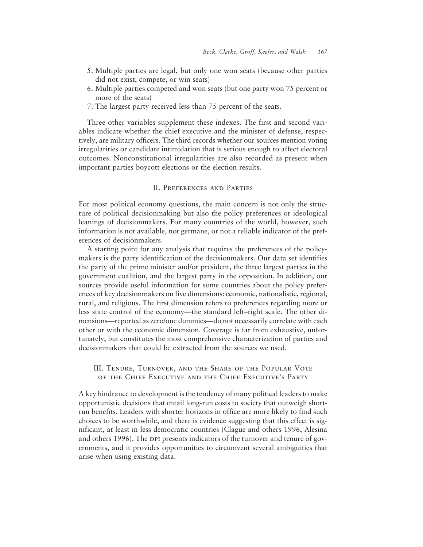- 5. Multiple parties are legal, but only one won seats (because other parties did not exist, compete, or win seats)
- 6. Multiple parties competed and won seats (but one party won 75 percent or more of the seats)
- 7. The largest party received less than 75 percent of the seats.

Three other variables supplement these indexes. The first and second variables indicate whether the chief executive and the minister of defense, respectively, are military officers. The third records whether our sources mention voting irregularities or candidate intimidation that is serious enough to affect electoral outcomes. Nonconstitutional irregularities are also recorded as present when important parties boycott elections or the election results.

#### II. Preferences and Parties

For most political economy questions, the main concern is not only the structure of political decisionmaking but also the policy preferences or ideological leanings of decisionmakers. For many countries of the world, however, such information is not available, not germane, or not a reliable indicator of the preferences of decisionmakers.

A starting point for any analysis that requires the preferences of the policymakers is the party identification of the decisionmakers. Our data set identifies the party of the prime minister and/or president, the three largest parties in the government coalition, and the largest party in the opposition. In addition, our sources provide useful information for some countries about the policy preferences of key decisionmakers on five dimensions: economic, nationalistic, regional, rural, and religious. The first dimension refers to preferences regarding more or less state control of the economy—the standard left–right scale. The other dimensions—reported as zero/one dummies—do not necessarily correlate with each other or with the economic dimension. Coverage is far from exhaustive, unfortunately, but constitutes the most comprehensive characterization of parties and decisionmakers that could be extracted from the sources we used.

### III. Tenure, Turnover, and the Share of the Popular Vote of the Chief Executive and the Chief Executive's Party

A key hindrance to development is the tendency of many political leaders to make opportunistic decisions that entail long-run costs to society that outweigh shortrun benefits. Leaders with shorter horizons in office are more likely to find such choices to be worthwhile, and there is evidence suggesting that this effect is significant, at least in less democratic countries (Clague and others 1996, Alesina and others 1996). The DPI presents indicators of the turnover and tenure of governments, and it provides opportunities to circumvent several ambiguities that arise when using existing data.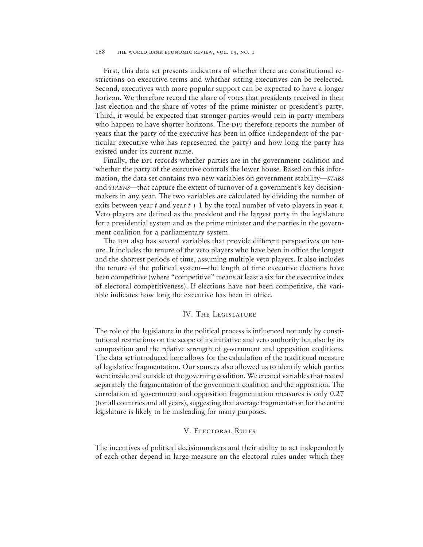First, this data set presents indicators of whether there are constitutional restrictions on executive terms and whether sitting executives can be reelected. Second, executives with more popular support can be expected to have a longer horizon. We therefore record the share of votes that presidents received in their last election and the share of votes of the prime minister or president's party. Third, it would be expected that stronger parties would rein in party members who happen to have shorter horizons. The DPI therefore reports the number of years that the party of the executive has been in office (independent of the particular executive who has represented the party) and how long the party has existed under its current name.

Finally, the DPI records whether parties are in the government coalition and whether the party of the executive controls the lower house. Based on this information, the data set contains two new variables on government stability—*STABS* and *STABNS*—that capture the extent of turnover of a government's key decisionmakers in any year. The two variables are calculated by dividing the number of exits between year *t* and year *t* + 1 by the total number of veto players in year *t*. Veto players are defined as the president and the largest party in the legislature for a presidential system and as the prime minister and the parties in the government coalition for a parliamentary system.

The DPI also has several variables that provide different perspectives on tenure. It includes the tenure of the veto players who have been in office the longest and the shortest periods of time, assuming multiple veto players. It also includes the tenure of the political system—the length of time executive elections have been competitive (where "competitive" means at least a six for the executive index of electoral competitiveness). If elections have not been competitive, the variable indicates how long the executive has been in office.

#### IV. The Legislature

The role of the legislature in the political process is influenced not only by constitutional restrictions on the scope of its initiative and veto authority but also by its composition and the relative strength of government and opposition coalitions. The data set introduced here allows for the calculation of the traditional measure of legislative fragmentation. Our sources also allowed us to identify which parties were inside and outside of the governing coalition. We created variables that record separately the fragmentation of the government coalition and the opposition. The correlation of government and opposition fragmentation measures is only 0.27 (for all countries and all years), suggesting that average fragmentation for the entire legislature is likely to be misleading for many purposes.

#### V. Electoral Rules

The incentives of political decisionmakers and their ability to act independently of each other depend in large measure on the electoral rules under which they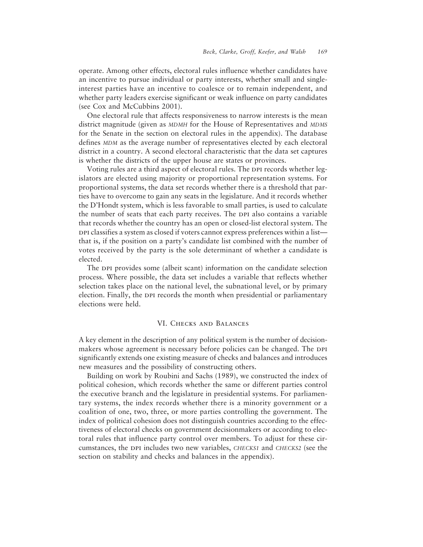operate. Among other effects, electoral rules influence whether candidates have an incentive to pursue individual or party interests, whether small and singleinterest parties have an incentive to coalesce or to remain independent, and whether party leaders exercise significant or weak influence on party candidates (see Cox and McCubbins 2001).

One electoral rule that affects responsiveness to narrow interests is the mean district magnitude (given as *MDMH* for the House of Representatives and *MDMS* for the Senate in the section on electoral rules in the appendix). The database defines *MDM* as the average number of representatives elected by each electoral district in a country. A second electoral characteristic that the data set captures is whether the districts of the upper house are states or provinces.

Voting rules are a third aspect of electoral rules. The DPI records whether legislators are elected using majority or proportional representation systems. For proportional systems, the data set records whether there is a threshold that parties have to overcome to gain any seats in the legislature. And it records whether the D'Hondt system, which is less favorable to small parties, is used to calculate the number of seats that each party receives. The DPI also contains a variable that records whether the country has an open or closed-list electoral system. The dpi classifies a system as closed if voters cannot express preferences within a list that is, if the position on a party's candidate list combined with the number of votes received by the party is the sole determinant of whether a candidate is elected.

The DPI provides some (albeit scant) information on the candidate selection process. Where possible, the data set includes a variable that reflects whether selection takes place on the national level, the subnational level, or by primary election. Finally, the DPI records the month when presidential or parliamentary elections were held.

#### VI. Checks and Balances

A key element in the description of any political system is the number of decisionmakers whose agreement is necessary before policies can be changed. The DPI significantly extends one existing measure of checks and balances and introduces new measures and the possibility of constructing others.

Building on work by Roubini and Sachs (1989), we constructed the index of political cohesion, which records whether the same or different parties control the executive branch and the legislature in presidential systems. For parliamentary systems, the index records whether there is a minority government or a coalition of one, two, three, or more parties controlling the government. The index of political cohesion does not distinguish countries according to the effectiveness of electoral checks on government decisionmakers or according to electoral rules that influence party control over members. To adjust for these circumstances, the dpi includes two new variables, *CHECKS1* and *CHECKS2* (see the section on stability and checks and balances in the appendix).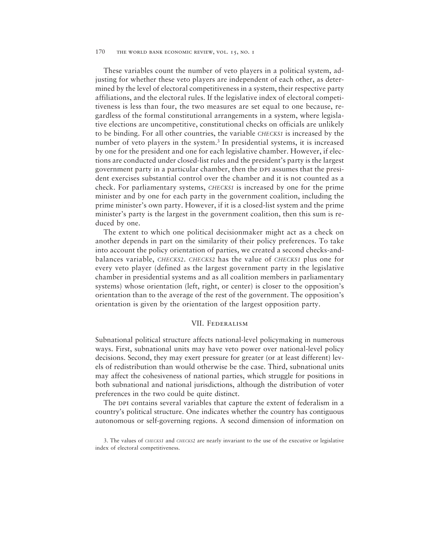These variables count the number of veto players in a political system, adjusting for whether these veto players are independent of each other, as determined by the level of electoral competitiveness in a system, their respective party affiliations, and the electoral rules. If the legislative index of electoral competitiveness is less than four, the two measures are set equal to one because, regardless of the formal constitutional arrangements in a system, where legislative elections are uncompetitive, constitutional checks on officials are unlikely to be binding. For all other countries, the variable *CHECKS1* is increased by the number of veto players in the system.<sup>3</sup> In presidential systems, it is increased by one for the president and one for each legislative chamber. However, if elections are conducted under closed-list rules and the president's party is the largest government party in a particular chamber, then the DPI assumes that the president exercises substantial control over the chamber and it is not counted as a check. For parliamentary systems, *CHECKS1* is increased by one for the prime minister and by one for each party in the government coalition, including the prime minister's own party. However, if it is a closed-list system and the prime minister's party is the largest in the government coalition, then this sum is reduced by one.

The extent to which one political decisionmaker might act as a check on another depends in part on the similarity of their policy preferences. To take into account the policy orientation of parties, we created a second checks-andbalances variable, *CHECKS2*. *CHECKS2* has the value of *CHECKS1* plus one for every veto player (defined as the largest government party in the legislative chamber in presidential systems and as all coalition members in parliamentary systems) whose orientation (left, right, or center) is closer to the opposition's orientation than to the average of the rest of the government. The opposition's orientation is given by the orientation of the largest opposition party.

#### VII. Federalism

Subnational political structure affects national-level policymaking in numerous ways. First, subnational units may have veto power over national-level policy decisions. Second, they may exert pressure for greater (or at least different) levels of redistribution than would otherwise be the case. Third, subnational units may affect the cohesiveness of national parties, which struggle for positions in both subnational and national jurisdictions, although the distribution of voter preferences in the two could be quite distinct.

The DPI contains several variables that capture the extent of federalism in a country's political structure. One indicates whether the country has contiguous autonomous or self-governing regions. A second dimension of information on

<sup>3.</sup> The values of *CHECKS1* and *CHECKS2* are nearly invariant to the use of the executive or legislative index of electoral competitiveness.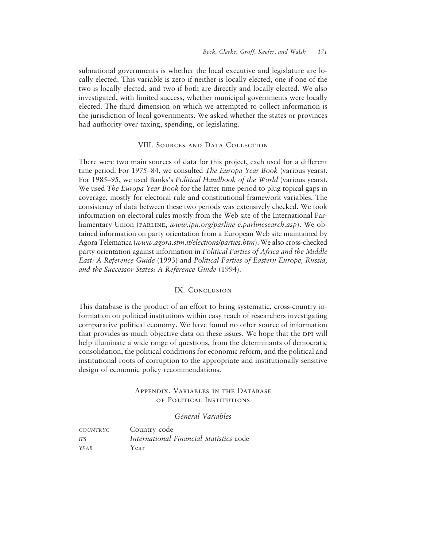subnational governments is whether the local executive and legislature are locally elected. This variable is zero if neither is locally elected, one if one of the two is locally elected, and two if both are directly and locally elected. We also investigated, with limited success, whether municipal governments were locally elected. The third dimension on which we attempted to collect information is the jurisdiction of local governments. We asked whether the states or provinces had authority over taxing, spending, or legislating.

#### VIII. Sources and Data Collection

There were two main sources of data for this project, each used for a different time period. For 1975–84, we consulted *The Europa Year Book* (various years). For 1985–95, we used Banks's *Political Handbook of the World* (various years). We used *The Europa Year Book* for the latter time period to plug topical gaps in coverage, mostly for electoral rule and constitutional framework variables. The consistency of data between these two periods was extensively checked. We took information on electoral rules mostly from the Web site of the International Parliamentary Union (parline, *www.ipu.org/parline-e.parlinesearch.asp*). We obtained information on party orientation from a European Web site maintained by Agora Telematica (*www.agora.stm.it/elections/parties.htm*). We also cross-checked party orientation against information in *Political Parties of Africa and the Middle East: A Reference Guide* (1993) and *Political Parties of Eastern Europe, Russia, and the Successor States: A Reference Guide* (1994).

#### IX. Conclusion

This database is the product of an effort to bring systematic, cross-country information on political institutions within easy reach of researchers investigating comparative political economy. We have found no other source of information that provides as much objective data on these issues. We hope that the DPI will help illuminate a wide range of questions, from the determinants of democratic consolidation, the political conditions for economic reform, and the political and institutional roots of corruption to the appropriate and institutionally sensitive design of economic policy recommendations.

#### Appendix. Variables in the Database of Political Institutions

*General Variables*

*COUNTRYC* Country code *IFS International Financial Statistics* code *YEAR* Year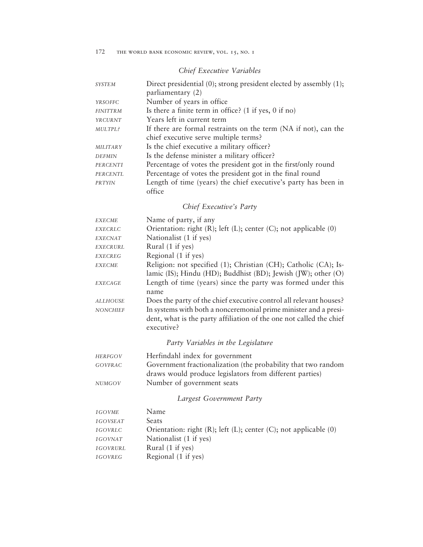## *Chief Executive Variables*

| SYSTEM          | Direct presidential (0); strong president elected by assembly (1);<br>parliamentary (2)                                                               |
|-----------------|-------------------------------------------------------------------------------------------------------------------------------------------------------|
| YRSOFFC         | Number of years in office                                                                                                                             |
| <b>FINITTRM</b> | Is there a finite term in office? (1 if yes, 0 if no)                                                                                                 |
| YRCURNT         | Years left in current term                                                                                                                            |
| MULTPL?         | If there are formal restraints on the term (NA if not), can the<br>chief executive serve multiple terms?                                              |
| MILITARY        | Is the chief executive a military officer?                                                                                                            |
| <b>DEFMIN</b>   | Is the defense minister a military officer?                                                                                                           |
| PERCENT1        | Percentage of votes the president got in the first/only round                                                                                         |
| PERCENTL        | Percentage of votes the president got in the final round                                                                                              |
| <b>PRTYIN</b>   | Length of time (years) the chief executive's party has been in<br>office                                                                              |
|                 | Chief Executive's Party                                                                                                                               |
| <b>EXECME</b>   | Name of party, if any                                                                                                                                 |
| EXECRLC         | Orientation: right $(R)$ ; left $(L)$ ; center $(C)$ ; not applicable $(0)$                                                                           |
| <b>EXECNAT</b>  | Nationalist (1 if yes)                                                                                                                                |
| EXECRURL        | Rural (1 if yes)                                                                                                                                      |
| <b>EXECREG</b>  | Regional (1 if yes)                                                                                                                                   |
| <b>EXECME</b>   | Religion: not specified (1); Christian (CH); Catholic (CA); Is-<br>lamic (IS); Hindu (HD); Buddhist (BD); Jewish (JW); other (O)                      |
| <b>EXECAGE</b>  | Length of time (years) since the party was formed under this<br>name                                                                                  |
| ALLHOUSE        | Does the party of the chief executive control all relevant houses?                                                                                    |
| <b>NONCHIEF</b> | In systems with both a nonceremonial prime minister and a presi-<br>dent, what is the party affiliation of the one not called the chief<br>executive? |
|                 | Party Variables in the Legislature                                                                                                                    |
| HERFGOV         | Herfindahl index for government                                                                                                                       |
| GOVFRAC         | Government fractionalization (the probability that two random                                                                                         |
|                 | draws would produce legislators from different parties)                                                                                               |
| NUMGOV          | Number of government seats                                                                                                                            |
|                 | Largest Government Party                                                                                                                              |
| 1GOVME          | Name                                                                                                                                                  |
| 1GOVSEAT        | <b>Seats</b>                                                                                                                                          |
| 1GOVRLC         | Orientation: right $(R)$ ; left $(L)$ ; center $(C)$ ; not applicable $(0)$                                                                           |
| 1GOVNAT         | Nationalist (1 if yes)                                                                                                                                |
| 1GOVRURL        | Rural (1 if yes)                                                                                                                                      |
| 1GOVREG         | Regional (1 if yes)                                                                                                                                   |
|                 |                                                                                                                                                       |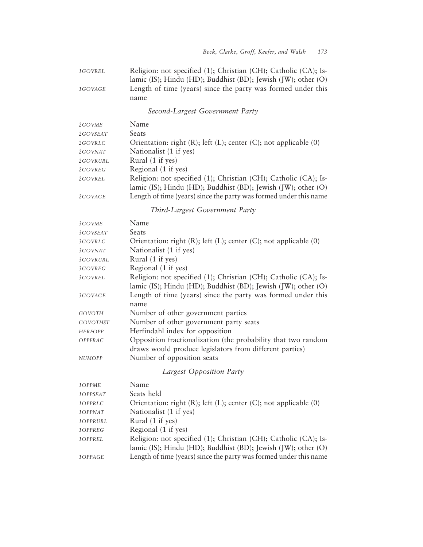| 1GOVREL<br>1GOVAGE             | Religion: not specified (1); Christian (CH); Catholic (CA); Is-<br>lamic (IS); Hindu (HD); Buddhist (BD); Jewish (JW); other (O)<br>Length of time (years) since the party was formed under this<br>name |  |
|--------------------------------|----------------------------------------------------------------------------------------------------------------------------------------------------------------------------------------------------------|--|
|                                | Second-Largest Government Party                                                                                                                                                                          |  |
| 2GOVME                         | Name                                                                                                                                                                                                     |  |
| 2GOVSEAT                       | Seats                                                                                                                                                                                                    |  |
| 2GOVRLC                        | Orientation: right $(R)$ ; left $(L)$ ; center $(C)$ ; not applicable $(0)$                                                                                                                              |  |
| 2GOVNAT                        | Nationalist (1 if yes)                                                                                                                                                                                   |  |
| 2GOVRURL                       | Rural (1 if yes)                                                                                                                                                                                         |  |
| 2GOVREG                        | Regional (1 if yes)                                                                                                                                                                                      |  |
| 2GOVREL                        | Religion: not specified (1); Christian (CH); Catholic (CA); Is-<br>lamic (IS); Hindu (HD); Buddhist (BD); Jewish (JW); other (O)                                                                         |  |
| 2GOVAGE                        | Length of time (years) since the party was formed under this name                                                                                                                                        |  |
| Third-Largest Government Party |                                                                                                                                                                                                          |  |
| 3GOVME                         | Name                                                                                                                                                                                                     |  |
| 3GOVSEAT                       | Seats                                                                                                                                                                                                    |  |
| 3GOVRLC                        | Orientation: right $(R)$ ; left $(L)$ ; center $(C)$ ; not applicable $(0)$                                                                                                                              |  |
| 3GOVNAT                        | Nationalist (1 if yes)                                                                                                                                                                                   |  |
| 3GOVRURL                       | Rural (1 if yes)                                                                                                                                                                                         |  |
| 3GOVREG                        | Regional (1 if yes)                                                                                                                                                                                      |  |
| 3GOVREL                        | Religion: not specified (1); Christian (CH); Catholic (CA); Is-<br>lamic (IS); Hindu (HD); Buddhist (BD); Jewish (JW); other (O)                                                                         |  |
| 3GOVAGE                        | Length of time (years) since the party was formed under this<br>name                                                                                                                                     |  |
| GOVOTH                         | Number of other government parties                                                                                                                                                                       |  |
| GOVOTHST                       | Number of other government party seats                                                                                                                                                                   |  |
| <b>HERFOPP</b>                 | Herfindahl index for opposition                                                                                                                                                                          |  |
| OPPFRAC                        | Opposition fractionalization (the probability that two random<br>draws would produce legislators from different parties)                                                                                 |  |
| <b>NUMOPP</b>                  | Number of opposition seats                                                                                                                                                                               |  |
| Largest Opposition Party       |                                                                                                                                                                                                          |  |
| 1 OPPME                        | Name                                                                                                                                                                                                     |  |
| 1OPPSEAT                       | Seats held                                                                                                                                                                                               |  |
| 1OPPRLC                        | Orientation: right $(R)$ ; left $(L)$ ; center $(C)$ ; not applicable $(0)$                                                                                                                              |  |
| 1 OPPNAT                       | Nationalist (1 if yes)                                                                                                                                                                                   |  |
| 1 OPPRURL                      | Rural (1 if yes)                                                                                                                                                                                         |  |
| 1OPPREG                        | Regional (1 if yes)                                                                                                                                                                                      |  |
| 1OPPREL                        | Religion: not specified (1); Christian (CH); Catholic (CA); Is-<br>lamic (IS); Hindu (HD); Buddhist (BD); Jewish (JW); other (O)                                                                         |  |

*1OPPAGE* Length of time (years) since the party was formed under this name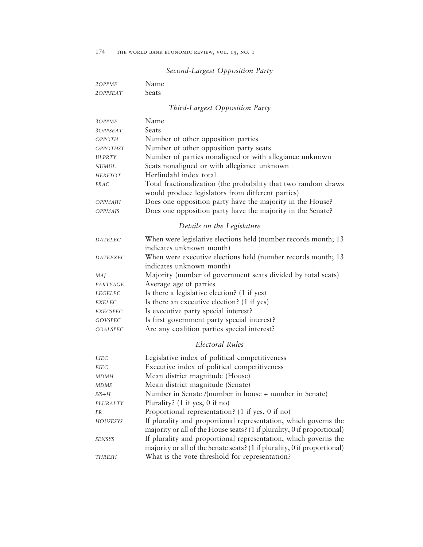## *Second-Largest Opposition Party*

| 2OPPME          | Name                                                                                                                                        |  |  |
|-----------------|---------------------------------------------------------------------------------------------------------------------------------------------|--|--|
| 2OPPSEAT        | Seats                                                                                                                                       |  |  |
|                 | Third-Largest Opposition Party                                                                                                              |  |  |
| 3OPPME          | Name                                                                                                                                        |  |  |
| 3OPPSEAT        | Seats                                                                                                                                       |  |  |
| OPPOTH          | Number of other opposition parties                                                                                                          |  |  |
| <b>OPPOTHST</b> | Number of other opposition party seats                                                                                                      |  |  |
| <b>ULPRTY</b>   | Number of parties nonaligned or with allegiance unknown                                                                                     |  |  |
| NUMUL           | Seats nonaligned or with allegiance unknown                                                                                                 |  |  |
| <b>HERFTOT</b>  | Herfindahl index total                                                                                                                      |  |  |
| FRAC            | Total fractionalization (the probability that two random draws<br>would produce legislators from different parties)                         |  |  |
| <b>OPPMAJH</b>  | Does one opposition party have the majority in the House?                                                                                   |  |  |
| <b>OPPMAJS</b>  | Does one opposition party have the majority in the Senate?                                                                                  |  |  |
|                 | Details on the Legislature                                                                                                                  |  |  |
| <b>DATELEG</b>  | When were legislative elections held (number records month; 13<br>indicates unknown month)                                                  |  |  |
| <b>DATEEXEC</b> | When were executive elections held (number records month; 13<br>indicates unknown month)                                                    |  |  |
| MAJ             | Majority (number of government seats divided by total seats)                                                                                |  |  |
| PARTYAGE        | Average age of parties                                                                                                                      |  |  |
| LEGELEC         | Is there a legislative election? (1 if yes)                                                                                                 |  |  |
| EXELEC          | Is there an executive election? (1 if yes)                                                                                                  |  |  |
| EXECSPEC        | Is executive party special interest?                                                                                                        |  |  |
| GOVSPEC         | Is first government party special interest?                                                                                                 |  |  |
| COALSPEC        | Are any coalition parties special interest?                                                                                                 |  |  |
| Electoral Rules |                                                                                                                                             |  |  |
| LIEC            | Legislative index of political competitiveness                                                                                              |  |  |
| EIEC            | Executive index of political competitiveness                                                                                                |  |  |
| MDMH            | Mean district magnitude (House)                                                                                                             |  |  |
| MDMS            | Mean district magnitude (Senate)                                                                                                            |  |  |
| $S/S+H$         | Number in Senate /(number in house + number in Senate)                                                                                      |  |  |
| PLURALTY        | Plurality? $(1 \text{ if yes}, 0 \text{ if no})$                                                                                            |  |  |
| PR              | Proportional representation? (1 if yes, 0 if no)                                                                                            |  |  |
| <b>HOUSESYS</b> | If plurality and proportional representation, which governs the<br>majority or all of the House seats? (1 if plurality, 0 if proportional)  |  |  |
| SENSYS          | If plurality and proportional representation, which governs the<br>majority or all of the Senate seats? (1 if plurality, 0 if proportional) |  |  |
| THRESH          | What is the vote threshold for representation?                                                                                              |  |  |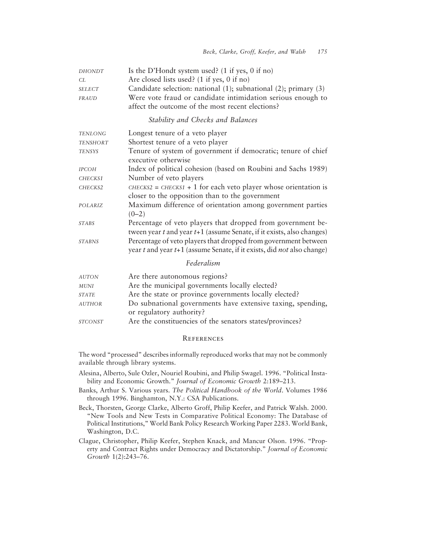| <b>DHONDT</b><br>CL<br><b>SELECT</b><br>FRAUD | Is the D'Hondt system used? (1 if yes, 0 if no)<br>Are closed lists used? (1 if yes, 0 if no)<br>Candidate selection: national (1); subnational (2); primary (3)<br>Were vote fraud or candidate intimidation serious enough to<br>affect the outcome of the most recent elections? |  |
|-----------------------------------------------|-------------------------------------------------------------------------------------------------------------------------------------------------------------------------------------------------------------------------------------------------------------------------------------|--|
|                                               | <b>Stability and Checks and Balances</b>                                                                                                                                                                                                                                            |  |
| <b>TENLONG</b>                                | Longest tenure of a veto player                                                                                                                                                                                                                                                     |  |
| <b>TENSHORT</b>                               | Shortest tenure of a veto player                                                                                                                                                                                                                                                    |  |
| <b>TENSYS</b>                                 | Tenure of system of government if democratic; tenure of chief<br>executive otherwise                                                                                                                                                                                                |  |
| <b>IPCOH</b>                                  | Index of political cohesion (based on Roubini and Sachs 1989)                                                                                                                                                                                                                       |  |
| CHECKS1                                       | Number of veto players                                                                                                                                                                                                                                                              |  |
| CHECKS2                                       | $CHECKS2 = CHECKS1 + 1$ for each veto player whose orientation is<br>closer to the opposition than to the government                                                                                                                                                                |  |
| POLARIZ                                       | Maximum difference of orientation among government parties<br>$(0-2)$                                                                                                                                                                                                               |  |
| <b>STABS</b>                                  | Percentage of veto players that dropped from government be-<br>tween year $t$ and year $t+1$ (assume Senate, if it exists, also changes)                                                                                                                                            |  |
| <b>STABNS</b>                                 | Percentage of veto players that dropped from government between<br>year t and year t+1 (assume Senate, if it exists, did not also change)                                                                                                                                           |  |
| Federalism                                    |                                                                                                                                                                                                                                                                                     |  |
| <b>AUTON</b>                                  | Are there autonomous regions?                                                                                                                                                                                                                                                       |  |
| <b>MUNI</b>                                   | Are the municipal governments locally elected?                                                                                                                                                                                                                                      |  |
| <b>STATE</b>                                  | Are the state or province governments locally elected?                                                                                                                                                                                                                              |  |
| <b>AUTHOR</b>                                 | Do subnational governments have extensive taxing, spending,<br>or regulatory authority?                                                                                                                                                                                             |  |
| <b>STCONST</b>                                | Are the constituencies of the senators states/provinces?                                                                                                                                                                                                                            |  |

#### **REFERENCES**

The word "processed" describes informally reproduced works that may not be commonly available through library systems.

- Alesina, Alberto, Sule Ozler, Nouriel Roubini, and Philip Swagel. 1996. "Political Instability and Economic Growth." *Journal of Economic Growth* 2:189–213.
- Banks, Arthur S. Various years. *The Political Handbook of the World*. Volumes 1986 through 1996. Binghamton, N.Y.: CSA Publications.
- Beck, Thorsten, George Clarke, Alberto Groff, Philip Keefer, and Patrick Walsh. 2000. "New Tools and New Tests in Comparative Political Economy: The Database of Political Institutions," World Bank Policy Research Working Paper 2283. World Bank, Washington, D.C.
- Clague, Christopher, Philip Keefer, Stephen Knack, and Mancur Olson. 1996. "Property and Contract Rights under Democracy and Dictatorship." *Journal of Economic Growth* 1(2):243–76.